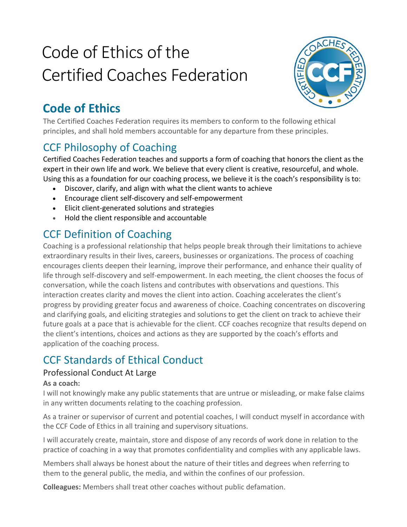# Code of Ethics of the Certified Coaches Federation



# **Code of Ethics**

The Certified Coaches Federation requires its members to conform to the following ethical principles, and shall hold members accountable for any departure from these principles.

## CCF Philosophy of Coaching

Certified Coaches Federation teaches and supports a form of coaching that honors the client as the expert in their own life and work. We believe that every client is creative, resourceful, and whole. Using this as a foundation for our coaching process, we believe it is the coach's responsibility is to:

- Discover, clarify, and align with what the client wants to achieve
- Encourage client self-discovery and self-empowerment
- Elicit client-generated solutions and strategies
- Hold the client responsible and accountable

### CCF Definition of Coaching

Coaching is a professional relationship that helps people break through their limitations to achieve extraordinary results in their lives, careers, businesses or organizations. The process of coaching encourages clients deepen their learning, improve their performance, and enhance their quality of life through self-discovery and self-empowerment. In each meeting, the client chooses the focus of conversation, while the coach listens and contributes with observations and questions. This interaction creates clarity and moves the client into action. Coaching accelerates the client's progress by providing greater focus and awareness of choice. Coaching concentrates on discovering and clarifying goals, and eliciting strategies and solutions to get the client on track to achieve their future goals at a pace that is achievable for the client. CCF coaches recognize that results depend on the client's intentions, choices and actions as they are supported by the coach's efforts and application of the coaching process.

# CCF Standards of Ethical Conduct

#### Professional Conduct At Large

#### **As a coach:**

I will not knowingly make any public statements that are untrue or misleading, or make false claims in any written documents relating to the coaching profession.

As a trainer or supervisor of current and potential coaches, I will conduct myself in accordance with the CCF Code of Ethics in all training and supervisory situations.

I will accurately create, maintain, store and dispose of any records of work done in relation to the practice of coaching in a way that promotes confidentiality and complies with any applicable laws.

Members shall always be honest about the nature of their titles and degrees when referring to them to the general public, the media, and within the confines of our profession.

**Colleagues:** Members shall treat other coaches without public defamation.